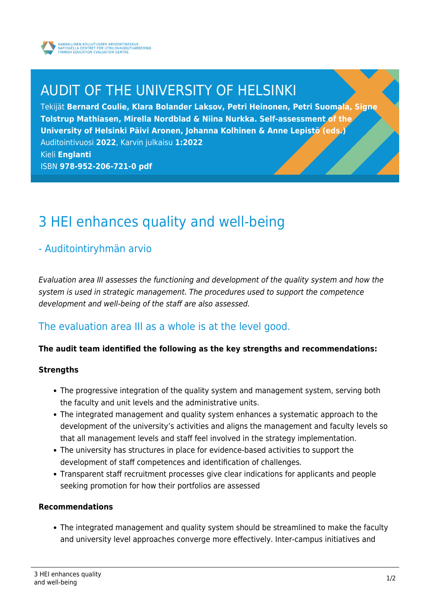

# AUDIT OF THE UNIVERSITY OF HELSINKI

Tekijät **Bernard Coulie, Klara Bolander Laksov, Petri Heinonen, Petri Suomala, Signe Tolstrup Mathiasen, Mirella Nordblad & Niina Nurkka. Self-assessment of the University of Helsinki Päivi Aronen, Johanna Kolhinen & Anne Lepistö (eds.)** Auditointivuosi **2022**, Karvin julkaisu **1:2022** Kieli **Englanti** ISBN **978-952-206-721-0 pdf**

# 3 HEI enhances quality and well-being

## - Auditointiryhmän arvio

Evaluation area III assesses the functioning and development of the quality system and how the system is used in strategic management. The procedures used to support the competence development and well-being of the staff are also assessed.

## The evaluation area III as a whole is at the level good.

### **The audit team identified the following as the key strengths and recommendations:**

### **Strengths**

- The progressive integration of the quality system and management system, serving both the faculty and unit levels and the administrative units.
- The integrated management and quality system enhances a systematic approach to the development of the university's activities and aligns the management and faculty levels so that all management levels and staff feel involved in the strategy implementation.
- The university has structures in place for evidence-based activities to support the development of staff competences and identification of challenges.
- Transparent staff recruitment processes give clear indications for applicants and people seeking promotion for how their portfolios are assessed

### **Recommendations**

The integrated management and quality system should be streamlined to make the faculty and university level approaches converge more effectively. Inter-campus initiatives and